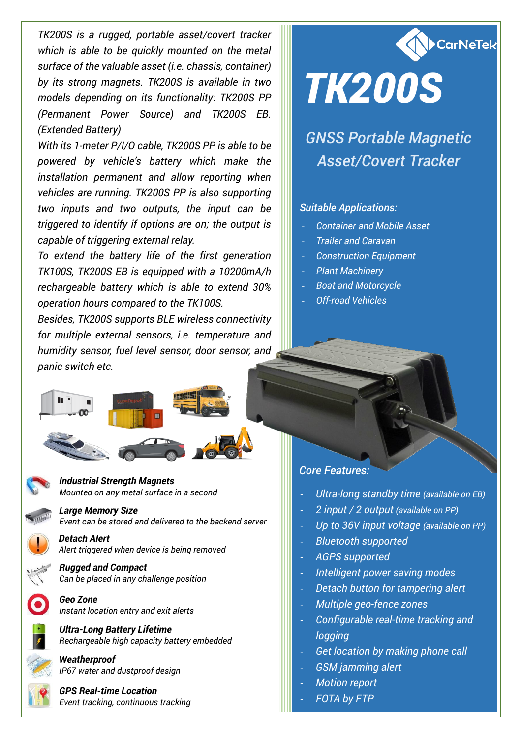*TK200S is a rugged, portable asset/covert tracker which is able to be quickly mounted on the metal surface of the valuable asset (i.e. chassis, container) by its strong magnets. TK200S is available in two models depending on its functionality: TK200S PP (Permanent Power Source) and TK200S EB. (Extended Battery)*

*With its 1-meter P/I/O cable, TK200S PP is able to be powered by vehicle's battery which make the installation permanent and allow reporting when vehicles are running. TK200S PP is also supporting two inputs and two outputs, the input can be triggered to identify if options are on; the output is capable of triggering external relay.*

*To extend the battery life of the first generation TK100S, TK200S EB is equipped with a 10200mA/h rechargeable battery which is able to extend 30% operation hours compared to the TK100S.*

*Besides, TK200S supports BLE wireless connectivity for multiple external sensors, i.e. temperature and humidity sensor, fuel level sensor, door sensor, and panic switch etc.*



#### *Industrial Strength Magnets Mounted on any metal surface in a second*

*Large Memory Size Event can be stored and delivered to the backend server*

*Detach Alert Alert triggered when device is being removed*

*Rugged and Compact Can be placed in any challenge position*



*Geo Zone Instant location entry and exit alerts*

*Ultra-Long Battery Lifetime Rechargeable high capacity battery embedded*



*Weatherproof IP67 water and dustproof design*

*GPS Real-time Location Event tracking, continuous tracking*



# *GNSS Portable Magnetic Asset/Covert Tracker*

**CarNeTek** 

### *Suitable Applications:*

- *Container and Mobile Asset*
- *Trailer and Caravan*
- *Construction Equipment*
- *Plant Machinery*
- *Boat and Motorcycle*
- *Off-road Vehicles*

### *Core Features:*

- *Ultra-long standby time (available on EB)*
- *2 input / 2 output (available on PP)*
- *Up to 36V input voltage (available on PP)*
- *Bluetooth supported*
- *AGPS supported*
- *Intelligent power saving modes*
- *Detach button for tampering alert*
- *Multiple geo-fence zones*
- *Configurable real-time tracking and logging*
- *Get location by making phone call*
- *GSM jamming alert*
- **Motion report**
- *FOTA by FTP*